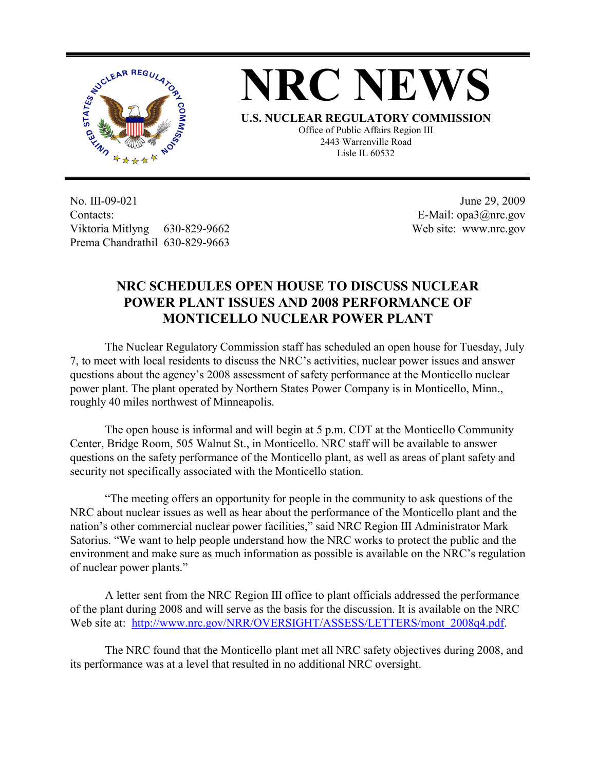



**U.S. NUCLEAR REGULATORY COMMISSION** Office of Public Affairs Region III 2443 Warrenville Road Lisle IL 60532

No. III-09-021 Contacts: Viktoria Mitlyng 630-829-9662 Prema Chandrathil 630-829-9663

 June 29, 2009 E-Mail: opa3@nrc.gov Web site: www.nrc.gov

## **NRC SCHEDULES OPEN HOUSE TO DISCUSS NUCLEAR POWER PLANT ISSUES AND 2008 PERFORMANCE OF MONTICELLO NUCLEAR POWER PLANT**

 The Nuclear Regulatory Commission staff has scheduled an open house for Tuesday, July 7, to meet with local residents to discuss the NRC's activities, nuclear power issues and answer questions about the agency's 2008 assessment of safety performance at the Monticello nuclear power plant. The plant operated by Northern States Power Company is in Monticello, Minn., roughly 40 miles northwest of Minneapolis.

 The open house is informal and will begin at 5 p.m. CDT at the Monticello Community Center, Bridge Room, 505 Walnut St., in Monticello. NRC staff will be available to answer questions on the safety performance of the Monticello plant, as well as areas of plant safety and security not specifically associated with the Monticello station.

"The meeting offers an opportunity for people in the community to ask questions of the NRC about nuclear issues as well as hear about the performance of the Monticello plant and the nation's other commercial nuclear power facilities," said NRC Region III Administrator Mark Satorius. "We want to help people understand how the NRC works to protect the public and the environment and make sure as much information as possible is available on the NRC's regulation of nuclear power plants."

A letter sent from the NRC Region III office to plant officials addressed the performance of the plant during 2008 and will serve as the basis for the discussion. It is available on the NRC Web site at: http://www.nrc.gov/NRR/OVERSIGHT/ASSESS/LETTERS/mont\_2008q4.pdf.

The NRC found that the Monticello plant met all NRC safety objectives during 2008, and its performance was at a level that resulted in no additional NRC oversight.